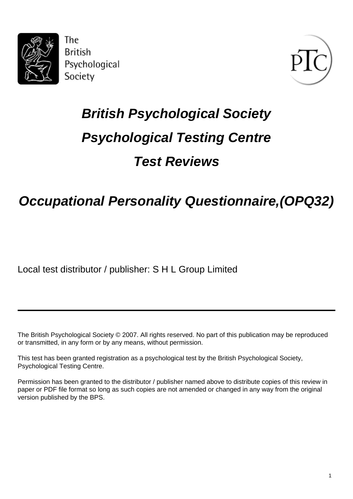

The **British** Psychological Society



# **British Psychological Society Psychological Testing Centre Test Reviews**

# **Occupational Personality Questionnaire,(OPQ32)**

Local test distributor / publisher: S H L Group Limited

The British Psychological Society © 2007. All rights reserved. No part of this publication may be reproduced or transmitted, in any form or by any means, without permission.

This test has been granted registration as a psychological test by the British Psychological Society, Psychological Testing Centre.

Permission has been granted to the distributor / publisher named above to distribute copies of this review in paper or PDF file format so long as such copies are not amended or changed in any way from the original version published by the BPS.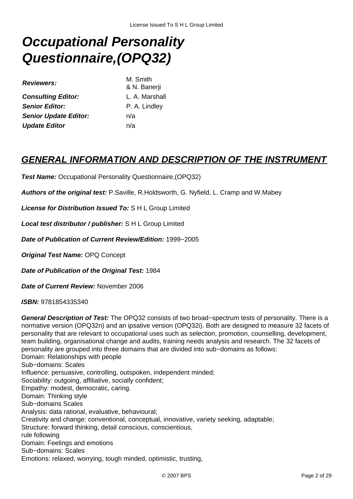# **Occupational Personality Questionnaire,(OPQ32)**

| M. Smith   |
|------------|
| & N. Ban   |
| L. A. Mar  |
| P. A. Ling |
| n/a        |
| n/a        |
|            |

I. Banerii **Consulting Editor:** L. A. Marshall **Senior Editor:** P. A. Lindley

### **GENERAL INFORMATION AND DESCRIPTION OF THE INSTRUMENT**

**Test Name:** Occupational Personality Questionnaire,(OPQ32)

**Authors of the original test:** P.Saville, R.Holdsworth, G. Nyfield, L. Cramp and W.Mabey

**License for Distribution Issued To:** S H L Group Limited

**Local test distributor / publisher:** S H L Group Limited

**Date of Publication of Current Review/Edition:** 1999−2005

**Original Test Name:** OPQ Concept

**Date of Publication of the Original Test:** 1984

**Date of Current Review:** November 2006

**ISBN:** 9781854335340

**General Description of Test:** The OPQ32 consists of two broad−spectrum tests of personality. There is a normative version (OPQ32n) and an ipsative version (OPQ32i). Both are designed to measure 32 facets of personality that are relevant to occupational uses such as selection, promotion, counselling, development, team building, organisational change and audits, training needs analysis and research. The 32 facets of personality are grouped into three domains that are divided into sub−domains as follows: Domain: Relationships with people Sub−domains: Scales Influence: persuasive, controlling, outspoken, independent minded; Sociability: outgoing, affiliative, socially confident; Empathy: modest, democratic, caring. Domain: Thinking style Sub−domains Scales Analysis: data rational, evaluative, behavioural; Creativity and change: conventional, conceptual, innovative, variety seeking, adaptable; Structure: forward thinking, detail conscious, conscientious, rule following Domain: Feelings and emotions Sub−domains: Scales Emotions: relaxed, worrying, tough minded, optimistic, trusting,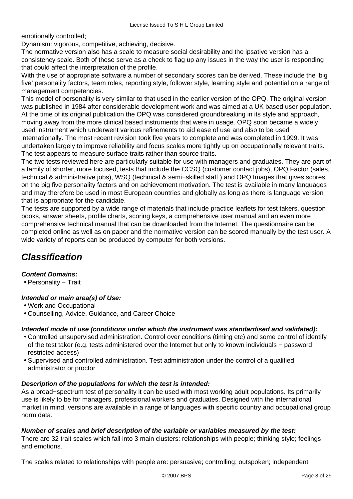emotionally controlled;

Dynanism: vigorous, competitive, achieving, decisive.

The normative version also has a scale to measure social desirability and the ipsative version has a consistency scale. Both of these serve as a check to flag up any issues in the way the user is responding that could affect the interpretation of the profile.

With the use of appropriate software a number of secondary scores can be derived. These include the 'big five' personality factors, team roles, reporting style, follower style, learning style and potential on a range of management competencies.

This model of personality is very similar to that used in the earlier version of the OPQ. The original version was published in 1984 after considerable development work and was aimed at a UK based user population. At the time of its original publication the OPQ was considered groundbreaking in its style and approach, moving away from the more clinical based instruments that were in usage. OPQ soon became a widely used instrument which underwent various refinements to aid ease of use and also to be used internationally. The most recent revision took five years to complete and was completed in 1999. It was undertaken largely to improve reliability and focus scales more tightly up on occupationally relevant traits. The test appears to measure surface traits rather than source traits.

The two tests reviewed here are particularly suitable for use with managers and graduates. They are part of a family of shorter, more focused, tests that include the CCSQ (customer contact jobs), OPQ Factor (sales, technical & administrative jobs), WSQ (technical & semi−skilled staff ) and OPQ Images that gives scores on the big five personality factors and on achievement motivation. The test is available in many languages and may therefore be used in most European countries and globally as long as there is language version that is appropriate for the candidate.

The tests are supported by a wide range of materials that include practice leaflets for test takers, question books, answer sheets, profile charts, scoring keys, a comprehensive user manual and an even more comprehensive technical manual that can be downloaded from the Internet. The questionnaire can be completed online as well as on paper and the normative version can be scored manually by the test user. A wide variety of reports can be produced by computer for both versions.

# **Classification**

#### **Content Domains:**

• Personality − Trait

#### **Intended or main area(s) of Use:**

- Work and Occupational
- Counselling, Advice, Guidance, and Career Choice

#### **Intended mode of use (conditions under which the instrument was standardised and validated):**

- Controlled unsupervised administration. Control over conditions (timing etc) and some control of identify of the test taker (e.g. tests administered over the Internet but only to known individuals − password restricted access)
- Supervised and controlled administration. Test administration under the control of a qualified administrator or proctor

#### **Description of the populations for which the test is intended:**

As a broad−spectrum test of personality it can be used with most working adult populations. Its primarily use is likely to be for managers, professional workers and graduates. Designed with the international market in mind, versions are available in a range of languages with specific country and occupational group norm data.

#### **Number of scales and brief description of the variable or variables measured by the test:**

There are 32 trait scales which fall into 3 main clusters: relationships with people; thinking style; feelings and emotions.

The scales related to relationships with people are: persuasive; controlling; outspoken; independent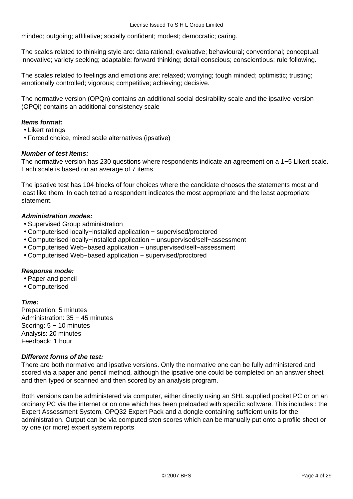minded; outgoing; affiliative; socially confident; modest; democratic; caring.

The scales related to thinking style are: data rational; evaluative; behavioural; conventional; conceptual; innovative; variety seeking; adaptable; forward thinking; detail conscious; conscientious; rule following.

The scales related to feelings and emotions are: relaxed; worrying; tough minded; optimistic; trusting; emotionally controlled; vigorous; competitive; achieving; decisive.

The normative version (OPQn) contains an additional social desirability scale and the ipsative version (OPQi) contains an additional consistency scale

#### **Items format:**

- Likert ratings
- Forced choice, mixed scale alternatives (ipsative)

#### **Number of test items:**

The normative version has 230 questions where respondents indicate an agreement on a 1−5 Likert scale. Each scale is based on an average of 7 items.

The ipsative test has 104 blocks of four choices where the candidate chooses the statements most and least like them. In each tetrad a respondent indicates the most appropriate and the least appropriate statement.

#### **Administration modes:**

- Supervised Group administration
- Computerised locally−installed application − supervised/proctored
- Computerised locally−installed application − unsupervised/self−assessment
- Computerised Web−based application − unsupervised/self−assessment
- Computerised Web−based application − supervised/proctored

#### **Response mode:**

- Paper and pencil
- Computerised

#### **Time:**

Preparation: 5 minutes Administration: 35 − 45 minutes Scoring: 5 − 10 minutes Analysis: 20 minutes Feedback: 1 hour

#### **Different forms of the test:**

There are both normative and ipsative versions. Only the normative one can be fully administered and scored via a paper and pencil method, although the ipsative one could be completed on an answer sheet and then typed or scanned and then scored by an analysis program.

Both versions can be administered via computer, either directly using an SHL supplied pocket PC or on an ordinary PC via the internet or on one which has been preloaded with specific software. This includes : the Expert Assessment System, OPQ32 Expert Pack and a dongle containing sufficient units for the administration. Output can be via computed sten scores which can be manually put onto a profile sheet or by one (or more) expert system reports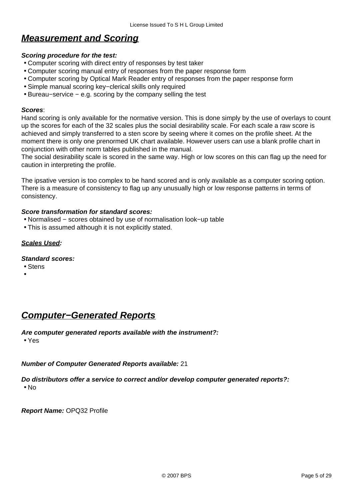## **Measurement and Scoring**

#### **Scoring procedure for the test:**

- Computer scoring with direct entry of responses by test taker
- Computer scoring manual entry of responses from the paper response form
- Computer scoring by Optical Mark Reader entry of responses from the paper response form
- Simple manual scoring key−clerical skills only required
- Bureau−service − e.g. scoring by the company selling the test

#### **Scores**:

Hand scoring is only available for the normative version. This is done simply by the use of overlays to count up the scores for each of the 32 scales plus the social desirability scale. For each scale a raw score is achieved and simply transferred to a sten score by seeing where it comes on the profile sheet. At the moment there is only one prenormed UK chart available. However users can use a blank profile chart in conjunction with other norm tables published in the manual.

The social desirability scale is scored in the same way. High or low scores on this can flag up the need for caution in interpreting the profile.

The ipsative version is too complex to be hand scored and is only available as a computer scoring option. There is a measure of consistency to flag up any unusually high or low response patterns in terms of consistency.

#### **Score transformation for standard scores:**

- Normalised − scores obtained by use of normalisation look−up table
- This is assumed although it is not explicitly stated.

#### **Scales Used:**

#### **Standard scores:**

- Stens
- •

### **Computer−Generated Reports**

### **Are computer generated reports available with the instrument?:**

• Yes

#### **Number of Computer Generated Reports available:** 21

#### **Do distributors offer a service to correct and/or develop computer generated reports?:** • No

**Report Name:** OPQ32 Profile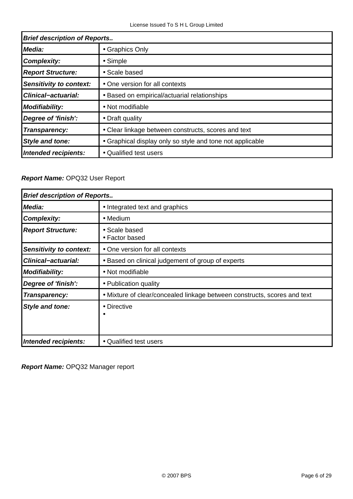| <b>Brief description of Reports</b> |                                                           |
|-------------------------------------|-----------------------------------------------------------|
| Media:                              | • Graphics Only                                           |
| <b>Complexity:</b>                  | • Simple                                                  |
| <b>Report Structure:</b>            | • Scale based                                             |
| <b>Sensitivity to context:</b>      | • One version for all contexts                            |
| <b>Clinical-actuarial:</b>          | • Based on empirical/actuarial relationships              |
| <b>Modifiability:</b>               | • Not modifiable                                          |
| Degree of 'finish':                 | • Draft quality                                           |
| Transparency:                       | • Clear linkage between constructs, scores and text       |
| <b>Style and tone:</b>              | • Graphical display only so style and tone not applicable |
| Intended recipients:                | • Qualified test users                                    |

### **Report Name:** OPQ32 User Report

| <b>Brief description of Reports</b> |                                                                          |
|-------------------------------------|--------------------------------------------------------------------------|
| Media:                              | • Integrated text and graphics                                           |
| <b>Complexity:</b>                  | $\bullet$ Medium                                                         |
| <b>Report Structure:</b>            | • Scale based<br>• Factor based                                          |
| Sensitivity to context:             | • One version for all contexts                                           |
| <b>Clinical-actuarial:</b>          | • Based on clinical judgement of group of experts                        |
| <b>Modifiability:</b>               | • Not modifiable                                                         |
| Degree of 'finish':                 | • Publication quality                                                    |
| Transparency:                       | • Mixture of clear/concealed linkage between constructs, scores and text |
| Style and tone:                     | • Directive                                                              |
| Intended recipients:                | • Qualified test users                                                   |

**Report Name:** OPQ32 Manager report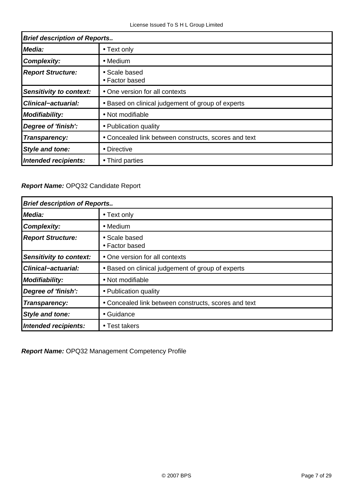| <b>Brief description of Reports</b> |                                                      |
|-------------------------------------|------------------------------------------------------|
| Media:                              | • Text only                                          |
| <b>Complexity:</b>                  | $\bullet$ Medium                                     |
| <b>Report Structure:</b>            | • Scale based<br>• Factor based                      |
| Sensitivity to context:             | • One version for all contexts                       |
| <b>Clinical-actuarial:</b>          | • Based on clinical judgement of group of experts    |
| <b>Modifiability:</b>               | • Not modifiable                                     |
| Degree of 'finish':                 | • Publication quality                                |
| Transparency:                       | • Concealed link between constructs, scores and text |
| <b>Style and tone:</b>              | • Directive                                          |
| Intended recipients:                | • Third parties                                      |

### **Report Name:** OPQ32 Candidate Report

| <b>Brief description of Reports</b> |                                                      |
|-------------------------------------|------------------------------------------------------|
| Media:                              | • Text only                                          |
| <b>Complexity:</b>                  | $\bullet$ Medium                                     |
| <b>Report Structure:</b>            | • Scale based<br>• Factor based                      |
| <b>Sensitivity to context:</b>      | • One version for all contexts                       |
| <b>Clinical-actuarial:</b>          | • Based on clinical judgement of group of experts    |
| <b>Modifiability:</b>               | • Not modifiable                                     |
| Degree of 'finish':                 | • Publication quality                                |
| Transparency:                       | • Concealed link between constructs, scores and text |
| <b>Style and tone:</b>              | • Guidance                                           |
| Intended recipients:                | • Test takers                                        |

**Report Name:** OPQ32 Management Competency Profile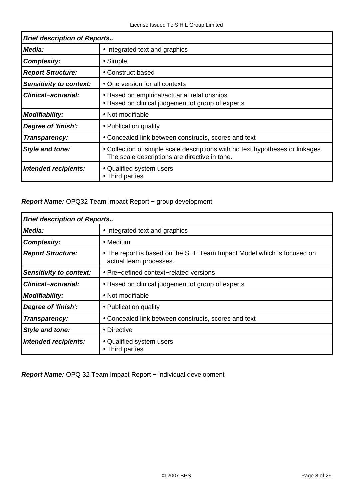| <b>Brief description of Reports</b> |                                                                                                                                 |
|-------------------------------------|---------------------------------------------------------------------------------------------------------------------------------|
| Media:                              | • Integrated text and graphics                                                                                                  |
| <b>Complexity:</b>                  | • Simple                                                                                                                        |
| <b>Report Structure:</b>            | • Construct based                                                                                                               |
| Sensitivity to context:             | • One version for all contexts                                                                                                  |
| <b>Clinical-actuarial:</b>          | • Based on empirical/actuarial relationships<br>• Based on clinical judgement of group of experts                               |
| <b>Modifiability:</b>               | • Not modifiable                                                                                                                |
| Degree of 'finish':                 | • Publication quality                                                                                                           |
| Transparency:                       | • Concealed link between constructs, scores and text                                                                            |
| <b>Style and tone:</b>              | • Collection of simple scale descriptions with no text hypotheses or linkages.<br>The scale descriptions are directive in tone. |
| Intended recipients:                | • Qualified system users<br>• Third parties                                                                                     |

#### **Report Name:** OPQ32 Team Impact Report − group development

| <b>Brief description of Reports</b> |                                                                                                  |
|-------------------------------------|--------------------------------------------------------------------------------------------------|
| <b>Media:</b>                       | • Integrated text and graphics                                                                   |
| <b>Complexity:</b>                  | $\bullet$ Medium                                                                                 |
| <b>Report Structure:</b>            | • The report is based on the SHL Team Impact Model which is focused on<br>actual team processes. |
| Sensitivity to context:             | • Pre-defined context-related versions                                                           |
| <b>Clinical-actuarial:</b>          | • Based on clinical judgement of group of experts                                                |
| <b>Modifiability:</b>               | • Not modifiable                                                                                 |
| Degree of 'finish':                 | • Publication quality                                                                            |
| Transparency:                       | • Concealed link between constructs, scores and text                                             |
| <b>Style and tone:</b>              | • Directive                                                                                      |
| Intended recipients:                | • Qualified system users<br>• Third parties                                                      |

**Report Name:** OPQ 32 Team Impact Report – individual development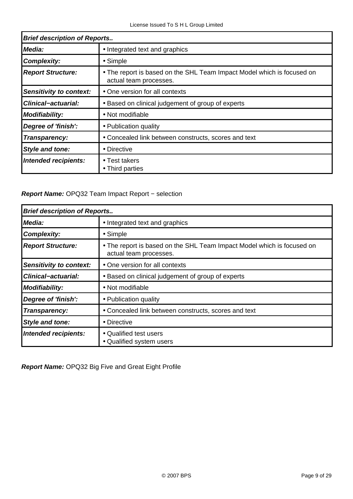| <b>Brief description of Reports</b> |                                                                                                  |
|-------------------------------------|--------------------------------------------------------------------------------------------------|
| Media:                              | • Integrated text and graphics                                                                   |
| <b>Complexity:</b>                  | $\bullet$ Simple                                                                                 |
| <b>Report Structure:</b>            | • The report is based on the SHL Team Impact Model which is focused on<br>actual team processes. |
| Sensitivity to context:             | • One version for all contexts                                                                   |
| <b>Clinical-actuarial:</b>          | • Based on clinical judgement of group of experts                                                |
| <b>Modifiability:</b>               | • Not modifiable                                                                                 |
| Degree of 'finish':                 | • Publication quality                                                                            |
| Transparency:                       | • Concealed link between constructs, scores and text                                             |
| <b>Style and tone:</b>              | • Directive                                                                                      |
| Intended recipients:                | $\bullet$ Test takers<br>• Third parties                                                         |

### **Report Name:** OPQ32 Team Impact Report − selection

| <b>Brief description of Reports</b> |                                                                                                  |
|-------------------------------------|--------------------------------------------------------------------------------------------------|
| Media:                              | • Integrated text and graphics                                                                   |
| <b>Complexity:</b>                  | • Simple                                                                                         |
| <b>Report Structure:</b>            | • The report is based on the SHL Team Impact Model which is focused on<br>actual team processes. |
| <b>Sensitivity to context:</b>      | • One version for all contexts                                                                   |
| <b>Clinical-actuarial:</b>          | • Based on clinical judgement of group of experts                                                |
| <b>Modifiability:</b>               | • Not modifiable                                                                                 |
| Degree of 'finish':                 | • Publication quality                                                                            |
| Transparency:                       | • Concealed link between constructs, scores and text                                             |
| <b>Style and tone:</b>              | • Directive                                                                                      |
| <b>Intended recipients:</b>         | • Qualified test users<br>• Qualified system users                                               |

**Report Name:** OPQ32 Big Five and Great Eight Profile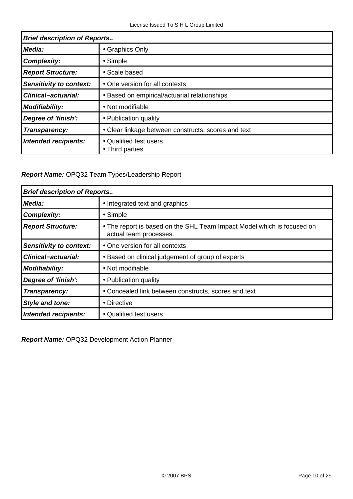| <b>Brief description of Reports</b> |                                                     |
|-------------------------------------|-----------------------------------------------------|
| Media:                              | • Graphics Only                                     |
| <b>Complexity:</b>                  | • Simple                                            |
| <b>Report Structure:</b>            | • Scale based                                       |
| Sensitivity to context:             | • One version for all contexts                      |
| <b>Clinical-actuarial:</b>          | • Based on empirical/actuarial relationships        |
| Modifiability:                      | • Not modifiable                                    |
| Degree of 'finish':                 | • Publication quality                               |
| Transparency:                       | • Clear linkage between constructs, scores and text |
| <b>Intended recipients:</b>         | • Qualified test users<br>• Third parties           |

**Report Name:** OPQ32 Team Types/Leadership Report

| <b>Brief description of Reports</b> |                                                                                                  |
|-------------------------------------|--------------------------------------------------------------------------------------------------|
| Media:                              | • Integrated text and graphics                                                                   |
| <b>Complexity:</b>                  | • Simple                                                                                         |
| <b>Report Structure:</b>            | • The report is based on the SHL Team Impact Model which is focused on<br>actual team processes. |
| <b>Sensitivity to context:</b>      | • One version for all contexts                                                                   |
| <b>Clinical-actuarial:</b>          | • Based on clinical judgement of group of experts                                                |
| <b>Modifiability:</b>               | • Not modifiable                                                                                 |
| Degree of 'finish':                 | • Publication quality                                                                            |
| Transparency:                       | • Concealed link between constructs, scores and text                                             |
| <b>Style and tone:</b>              | • Directive                                                                                      |
| Intended recipients:                | • Qualified test users                                                                           |

**Report Name:** OPQ32 Development Action Planner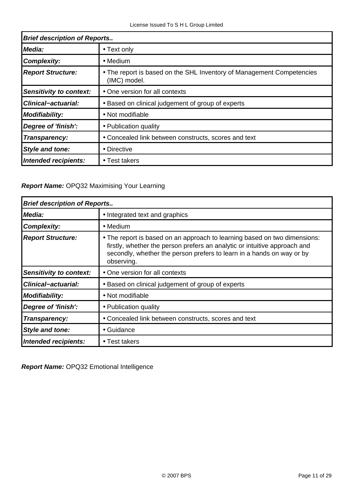| <b>Brief description of Reports</b> |                                                                                       |
|-------------------------------------|---------------------------------------------------------------------------------------|
| Media:                              | • Text only                                                                           |
| <b>Complexity:</b>                  | $\bullet$ Medium                                                                      |
| <b>Report Structure:</b>            | • The report is based on the SHL Inventory of Management Competencies<br>(IMC) model. |
| <b>Sensitivity to context:</b>      | • One version for all contexts                                                        |
| <b>Clinical-actuarial:</b>          | • Based on clinical judgement of group of experts                                     |
| <b>Modifiability:</b>               | • Not modifiable                                                                      |
| Degree of 'finish':                 | • Publication quality                                                                 |
| Transparency:                       | • Concealed link between constructs, scores and text                                  |
| <b>Style and tone:</b>              | • Directive                                                                           |
| Intended recipients:                | • Test takers                                                                         |

### **Report Name:** OPQ32 Maximising Your Learning

| <b>Brief description of Reports</b> |                                                                                                                                                                                                                                               |  |
|-------------------------------------|-----------------------------------------------------------------------------------------------------------------------------------------------------------------------------------------------------------------------------------------------|--|
| Media:                              | • Integrated text and graphics                                                                                                                                                                                                                |  |
| <b>Complexity:</b>                  | • Medium                                                                                                                                                                                                                                      |  |
| <b>Report Structure:</b>            | • The report is based on an approach to learning based on two dimensions:<br>firstly, whether the person prefers an analytic or intuitive approach and<br>secondly, whether the person prefers to learn in a hands on way or by<br>observing. |  |
| <b>Sensitivity to context:</b>      | • One version for all contexts                                                                                                                                                                                                                |  |
| <b>Clinical-actuarial:</b>          | • Based on clinical judgement of group of experts                                                                                                                                                                                             |  |
| <b>Modifiability:</b>               | • Not modifiable                                                                                                                                                                                                                              |  |
| Degree of 'finish':                 | • Publication quality                                                                                                                                                                                                                         |  |
| Transparency:                       | • Concealed link between constructs, scores and text                                                                                                                                                                                          |  |
| <b>Style and tone:</b>              | • Guidance                                                                                                                                                                                                                                    |  |
| Intended recipients:                | • Test takers                                                                                                                                                                                                                                 |  |

**Report Name:** OPQ32 Emotional Intelligence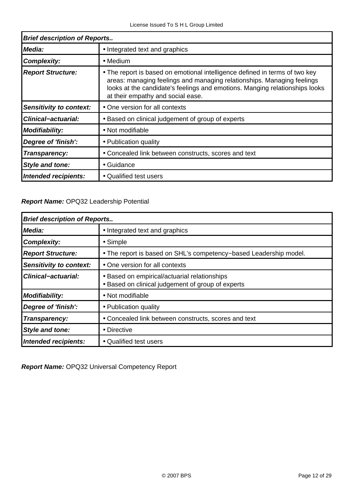| <b>Brief description of Reports</b> |                                                                                                                                                                                                                                                                           |  |
|-------------------------------------|---------------------------------------------------------------------------------------------------------------------------------------------------------------------------------------------------------------------------------------------------------------------------|--|
| Media:                              | • Integrated text and graphics                                                                                                                                                                                                                                            |  |
| <b>Complexity:</b>                  | $\bullet$ Medium                                                                                                                                                                                                                                                          |  |
| <b>Report Structure:</b>            | • The report is based on emotional intelligence defined in terms of two key<br>areas: managing feelings and managing relationships. Managing feelings<br>looks at the candidate's feelings and emotions. Manging relationships looks<br>at their empathy and social ease. |  |
| <b>Sensitivity to context:</b>      | • One version for all contexts                                                                                                                                                                                                                                            |  |
| <b>Clinical-actuarial:</b>          | • Based on clinical judgement of group of experts                                                                                                                                                                                                                         |  |
| <b>Modifiability:</b>               | • Not modifiable                                                                                                                                                                                                                                                          |  |
| Degree of 'finish':                 | • Publication quality                                                                                                                                                                                                                                                     |  |
| Transparency:                       | • Concealed link between constructs, scores and text                                                                                                                                                                                                                      |  |
| <b>Style and tone:</b>              | • Guidance                                                                                                                                                                                                                                                                |  |
| Intended recipients:                | • Qualified test users                                                                                                                                                                                                                                                    |  |

#### **Report Name:** OPQ32 Leadership Potential

| <b>Brief description of Reports</b> |                                                                                                   |  |  |
|-------------------------------------|---------------------------------------------------------------------------------------------------|--|--|
| Media:                              | • Integrated text and graphics                                                                    |  |  |
| <b>Complexity:</b>                  | • Simple                                                                                          |  |  |
| <b>Report Structure:</b>            | . The report is based on SHL's competency-based Leadership model.                                 |  |  |
| <b>Sensitivity to context:</b>      | • One version for all contexts                                                                    |  |  |
| Clinical-actuarial:                 | • Based on empirical/actuarial relationships<br>• Based on clinical judgement of group of experts |  |  |
| <b>Modifiability:</b>               | • Not modifiable                                                                                  |  |  |
| Degree of 'finish':                 | • Publication quality                                                                             |  |  |
| Transparency:                       | • Concealed link between constructs, scores and text                                              |  |  |
| <b>Style and tone:</b>              | • Directive                                                                                       |  |  |
| Intended recipients:                | • Qualified test users                                                                            |  |  |

**Report Name:** OPQ32 Universal Competency Report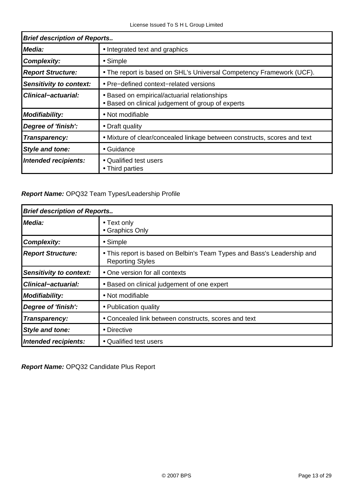| <b>Brief description of Reports</b> |                                                                                                   |  |
|-------------------------------------|---------------------------------------------------------------------------------------------------|--|
| Media:                              | • Integrated text and graphics                                                                    |  |
| <b>Complexity:</b>                  | $\bullet$ Simple                                                                                  |  |
| <b>Report Structure:</b>            | • The report is based on SHL's Universal Competency Framework (UCF).                              |  |
| Sensitivity to context:             | • Pre-defined context-related versions                                                            |  |
| <b>Clinical-actuarial:</b>          | • Based on empirical/actuarial relationships<br>• Based on clinical judgement of group of experts |  |
| Modifiability:                      | • Not modifiable                                                                                  |  |
| Degree of 'finish':                 | • Draft quality                                                                                   |  |
| Transparency:                       | • Mixture of clear/concealed linkage between constructs, scores and text                          |  |
| <b>Style and tone:</b>              | • Guidance                                                                                        |  |
| Intended recipients:                | • Qualified test users<br>• Third parties                                                         |  |

### **Report Name:** OPQ32 Team Types/Leadership Profile

| <b>Brief description of Reports</b> |                                                                                                    |  |
|-------------------------------------|----------------------------------------------------------------------------------------------------|--|
| Media:                              | • Text only<br>• Graphics Only                                                                     |  |
| <b>Complexity:</b>                  | • Simple                                                                                           |  |
| <b>Report Structure:</b>            | • This report is based on Belbin's Team Types and Bass's Leadership and<br><b>Reporting Styles</b> |  |
| <b>Sensitivity to context:</b>      | • One version for all contexts                                                                     |  |
| <b>Clinical-actuarial:</b>          | • Based on clinical judgement of one expert                                                        |  |
| <b>Modifiability:</b>               | • Not modifiable                                                                                   |  |
| Degree of 'finish':                 | • Publication quality                                                                              |  |
| Transparency:                       | • Concealed link between constructs, scores and text                                               |  |
| <b>Style and tone:</b>              | • Directive                                                                                        |  |
| Intended recipients:                | • Qualified test users                                                                             |  |

**Report Name:** OPQ32 Candidate Plus Report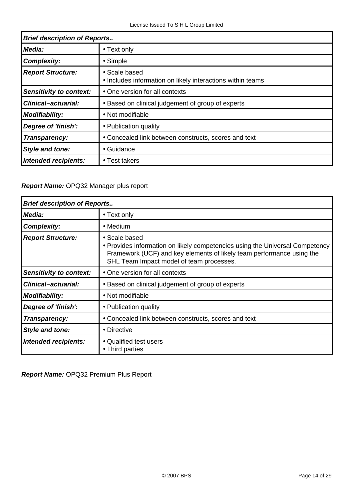| <b>Brief description of Reports</b> |                                                                             |  |
|-------------------------------------|-----------------------------------------------------------------------------|--|
| Media:                              | • Text only                                                                 |  |
| <b>Complexity:</b>                  | $\bullet$ Simple                                                            |  |
| <b>Report Structure:</b>            | • Scale based<br>• Includes information on likely interactions within teams |  |
| <b>Sensitivity to context:</b>      | • One version for all contexts                                              |  |
| <b>Clinical-actuarial:</b>          | • Based on clinical judgement of group of experts                           |  |
| <b>Modifiability:</b>               | • Not modifiable                                                            |  |
| Degree of 'finish':                 | • Publication quality                                                       |  |
| Transparency:                       | • Concealed link between constructs, scores and text                        |  |
| <b>Style and tone:</b>              | • Guidance                                                                  |  |
| Intended recipients:                | • Test takers                                                               |  |

### **Report Name:** OPQ32 Manager plus report

| <b>Brief description of Reports</b> |                                                                                                                                                                                                                    |  |
|-------------------------------------|--------------------------------------------------------------------------------------------------------------------------------------------------------------------------------------------------------------------|--|
| Media:                              | • Text only                                                                                                                                                                                                        |  |
| <b>Complexity:</b>                  | • Medium                                                                                                                                                                                                           |  |
| <b>Report Structure:</b>            | • Scale based<br>• Provides information on likely competencies using the Universal Competency<br>Framework (UCF) and key elements of likely team performance using the<br>SHL Team Impact model of team processes. |  |
| <b>Sensitivity to context:</b>      | • One version for all contexts                                                                                                                                                                                     |  |
| <b>Clinical-actuarial:</b>          | • Based on clinical judgement of group of experts                                                                                                                                                                  |  |
| <b>Modifiability:</b>               | • Not modifiable                                                                                                                                                                                                   |  |
| Degree of 'finish':                 | • Publication quality                                                                                                                                                                                              |  |
| Transparency:                       | • Concealed link between constructs, scores and text                                                                                                                                                               |  |
| Style and tone:                     | • Directive                                                                                                                                                                                                        |  |
| Intended recipients:                | • Qualified test users<br>• Third parties                                                                                                                                                                          |  |

**Report Name:** OPQ32 Premium Plus Report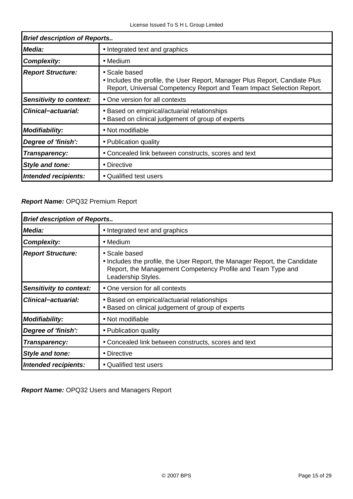| <b>Brief description of Reports</b> |                                                                                                                                                                       |  |
|-------------------------------------|-----------------------------------------------------------------------------------------------------------------------------------------------------------------------|--|
| Media:                              | • Integrated text and graphics                                                                                                                                        |  |
| <b>Complexity:</b>                  | $\bullet$ Medium                                                                                                                                                      |  |
| <b>Report Structure:</b>            | • Scale based<br>• Includes the profile, the User Report, Manager Plus Report, Candiate Plus<br>Report, Universal Competency Report and Team Impact Selection Report. |  |
| <b>Sensitivity to context:</b>      | • One version for all contexts                                                                                                                                        |  |
| <b>Clinical-actuarial:</b>          | • Based on empirical/actuarial relationships<br>• Based on clinical judgement of group of experts                                                                     |  |
| <b>Modifiability:</b>               | • Not modifiable                                                                                                                                                      |  |
| Degree of 'finish':                 | • Publication quality                                                                                                                                                 |  |
| Transparency:                       | • Concealed link between constructs, scores and text                                                                                                                  |  |
| Style and tone:                     | • Directive                                                                                                                                                           |  |
| Intended recipients:                | • Qualified test users                                                                                                                                                |  |

#### **Report Name:** OPQ32 Premium Report

| <b>Brief description of Reports</b> |                                                                                                                                                                                  |  |
|-------------------------------------|----------------------------------------------------------------------------------------------------------------------------------------------------------------------------------|--|
| Media:                              | • Integrated text and graphics                                                                                                                                                   |  |
| <b>Complexity:</b>                  | $\bullet$ Medium                                                                                                                                                                 |  |
| <b>Report Structure:</b>            | • Scale based<br>• Includes the profile, the User Report, the Manager Report, the Candidate<br>Report, the Management Competency Profile and Team Type and<br>Leadership Styles. |  |
| <b>Sensitivity to context:</b>      | • One version for all contexts                                                                                                                                                   |  |
| <b>Clinical-actuarial:</b>          | • Based on empirical/actuarial relationships<br>• Based on clinical judgement of group of experts                                                                                |  |
| <b>Modifiability:</b>               | • Not modifiable                                                                                                                                                                 |  |
| Degree of 'finish':                 | • Publication quality                                                                                                                                                            |  |
| Transparency:                       | • Concealed link between constructs, scores and text                                                                                                                             |  |
| Style and tone:                     | • Directive                                                                                                                                                                      |  |
| Intended recipients:                | • Qualified test users                                                                                                                                                           |  |

**Report Name:** OPQ32 Users and Managers Report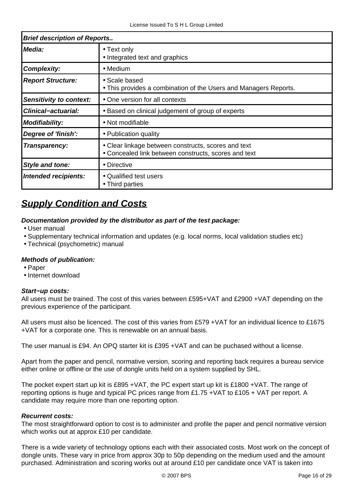| <b>Brief description of Reports</b> |                                                                                                             |  |
|-------------------------------------|-------------------------------------------------------------------------------------------------------------|--|
| Media:                              | • Text only<br>• Integrated text and graphics                                                               |  |
| <b>Complexity:</b>                  | • Medium                                                                                                    |  |
| <b>Report Structure:</b>            | • Scale based<br>• This provides a combination of the Users and Managers Reports.                           |  |
| Sensitivity to context:             | • One version for all contexts                                                                              |  |
| <b>Clinical-actuarial:</b>          | • Based on clinical judgement of group of experts                                                           |  |
| <b>Modifiability:</b>               | • Not modifiable                                                                                            |  |
| Degree of 'finish':                 | • Publication quality                                                                                       |  |
| Transparency:                       | • Clear linkage between constructs, scores and text<br>• Concealed link between constructs, scores and text |  |
| <b>Style and tone:</b>              | • Directive                                                                                                 |  |
| Intended recipients:                | • Qualified test users<br>• Third parties                                                                   |  |

# **Supply Condition and Costs**

#### **Documentation provided by the distributor as part of the test package:**

- User manual
- Supplementary technical information and updates (e.g. local norms, local validation studies etc)
- Technical (psychometric) manual

#### **Methods of publication:**

- Paper
- Internet download

#### **Start−up costs:**

All users must be trained. The cost of this varies between £595+VAT and £2900 +VAT depending on the previous experience of the participant.

All users must also be licenced. The cost of this varies from £579 +VAT for an individual licence to £1675 +VAT for a corporate one. This is renewable on an annual basis.

The user manual is £94. An OPQ starter kit is £395 +VAT and can be puchased without a license.

Apart from the paper and pencil, normative version, scoring and reporting back requires a bureau service either online or offline or the use of dongle units held on a system supplied by SHL.

The pocket expert start up kit is £895 +VAT, the PC expert start up kit is £1800 +VAT. The range of reporting options is huge and typical PC prices range from £1.75 +VAT to £105 + VAT per report. A candidate may require more than one reporting option.

#### **Recurrent costs:**

The most straightforward option to cost is to administer and profile the paper and pencil normative version which works out at approx £10 per candidate.

There is a wide variety of technology options each with their associated costs. Most work on the concept of dongle units. These vary in price from approx 30p to 50p depending on the medium used and the amount purchased. Administration and scoring works out at around £10 per candidate once VAT is taken into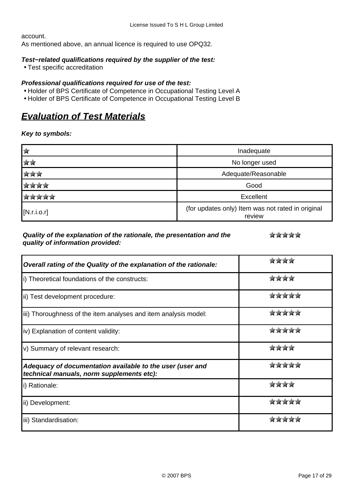account.

As mentioned above, an annual licence is required to use OPQ32.

#### **Test−related qualifications required by the supplier of the test:**

• Test specific accreditation

#### **Professional qualifications required for use of the test:**

- Holder of BPS Certificate of Competence in Occupational Testing Level A
- Holder of BPS Certificate of Competence in Occupational Testing Level B

# **Evaluation of Test Materials**

#### **Key to symbols:**

|              | Inadequate                                                  |  |
|--------------|-------------------------------------------------------------|--|
| <b>ATA</b>   | No longer used                                              |  |
| 宮宮宮          | Adequate/Reasonable                                         |  |
| <b>ATATA</b> | Good                                                        |  |
| <b>XXXXX</b> | Excellent                                                   |  |
| [N.r.i.o.r]  | (for updates only) Item was not rated in original<br>review |  |

#### **Quality of the explanation of the rationale, the presentation and the quality of information provided:**

से से से से से

| Overall rating of the Quality of the explanation of the rationale:                                     |              |
|--------------------------------------------------------------------------------------------------------|--------------|
| i) Theoretical foundations of the constructs:                                                          |              |
| ii) Test development procedure:                                                                        | tirsinininin |
| iii) Thoroughness of the item analyses and item analysis model:                                        |              |
| iv) Explanation of content validity:                                                                   |              |
| v) Summary of relevant research:                                                                       |              |
| Adequacy of documentation available to the user (user and<br>technical manuals, norm supplements etc): |              |
| i) Rationale:                                                                                          | stestesteste |
| ii) Development:                                                                                       |              |
| iii) Standardisation:                                                                                  |              |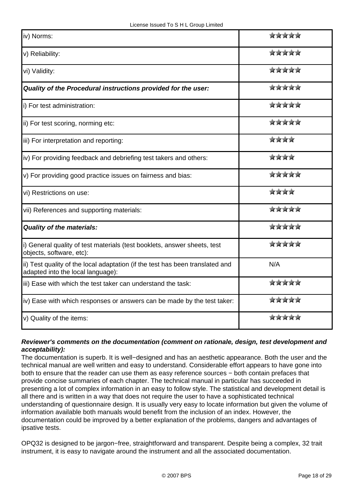| iv) Norms:                                                                                                         | से से से से से     |
|--------------------------------------------------------------------------------------------------------------------|--------------------|
| v) Reliability:                                                                                                    | *****              |
| vi) Validity:                                                                                                      | से से से से से     |
| Quality of the Procedural instructions provided for the user:                                                      | *****              |
| i) For test administration:                                                                                        | *****              |
| ii) For test scoring, norming etc:                                                                                 | से से से से से     |
| iii) For interpretation and reporting:                                                                             | ****               |
| iv) For providing feedback and debriefing test takers and others:                                                  | ****               |
| v) For providing good practice issues on fairness and bias:                                                        | *****              |
| vi) Restrictions on use:                                                                                           | ****               |
| vii) References and supporting materials:                                                                          | *****              |
| <b>Quality of the materials:</b>                                                                                   | 京京京京京              |
| i) General quality of test materials (test booklets, answer sheets, test<br>objects, software, etc):               | *****              |
| ii) Test quality of the local adaptation (if the test has been translated and<br>adapted into the local language): | N/A                |
| iii) Ease with which the test taker can understand the task:                                                       | 京京京京京              |
| iv) Ease with which responses or answers can be made by the test taker:                                            | *****              |
| v) Quality of the items:                                                                                           | में में में में मे |

#### **Reviewer's comments on the documentation (comment on rationale, design, test development and acceptability):**

The documentation is superb. It is well−designed and has an aesthetic appearance. Both the user and the technical manual are well written and easy to understand. Considerable effort appears to have gone into both to ensure that the reader can use them as easy reference sources − both contain prefaces that provide concise summaries of each chapter. The technical manual in particular has succeeded in presenting a lot of complex information in an easy to follow style. The statistical and development detail is all there and is written in a way that does not require the user to have a sophisticated technical understanding of questionnaire design. It is usually very easy to locate information but given the volume of information available both manuals would benefit from the inclusion of an index. However, the documentation could be improved by a better explanation of the problems, dangers and advantages of ipsative tests.

OPQ32 is designed to be jargon−free, straightforward and transparent. Despite being a complex, 32 trait instrument, it is easy to navigate around the instrument and all the associated documentation.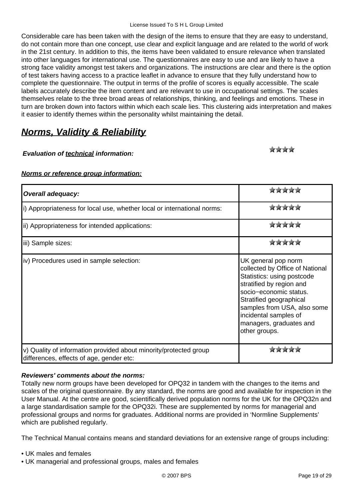Considerable care has been taken with the design of the items to ensure that they are easy to understand, do not contain more than one concept, use clear and explicit language and are related to the world of work in the 21st century. In addition to this, the items have been validated to ensure relevance when translated into other languages for international use. The questionnaires are easy to use and are likely to have a strong face validity amongst test takers and organizations. The instructions are clear and there is the option of test takers having access to a practice leaflet in advance to ensure that they fully understand how to complete the questionnaire. The output in terms of the profile of scores is equally accessible. The scale labels accurately describe the item content and are relevant to use in occupational settings. The scales themselves relate to the three broad areas of relationships, thinking, and feelings and emotions. These in turn are broken down into factors within which each scale lies. This clustering aids interpretation and makes it easier to identify themes within the personality whilst maintaining the detail.

# **Norms, Validity & Reliability**

#### **Evaluation of technical information:**

skrikskrik

### **Norms or reference group information:**

| <b>Overall adequacy:</b>                                                                                      |                                                                                                                                                                                                                                                                           |
|---------------------------------------------------------------------------------------------------------------|---------------------------------------------------------------------------------------------------------------------------------------------------------------------------------------------------------------------------------------------------------------------------|
| i) Appropriateness for local use, whether local or international norms:                                       | tirskrskrsk                                                                                                                                                                                                                                                               |
| ii) Appropriateness for intended applications:                                                                | प्रोट के प्रोट के                                                                                                                                                                                                                                                         |
| iii) Sample sizes:                                                                                            | stestestesteste                                                                                                                                                                                                                                                           |
| iv) Procedures used in sample selection:                                                                      | UK general pop norm<br>collected by Office of National<br>Statistics: using postcode<br>stratified by region and<br>socio-economic status.<br>Stratified geographical<br>samples from USA, also some<br>incidental samples of<br>managers, graduates and<br>other groups. |
| v) Quality of information provided about minority/protected group<br>differences, effects of age, gender etc: |                                                                                                                                                                                                                                                                           |

#### **Reviewers' comments about the norms:**

Totally new norm groups have been developed for OPQ32 in tandem with the changes to the items and scales of the original questionnaire. By any standard, the norms are good and available for inspection in the User Manual. At the centre are good, scientifically derived population norms for the UK for the OPQ32n and a large standardisation sample for the OPQ32i. These are supplemented by norms for managerial and professional groups and norms for graduates. Additional norms are provided in 'Normline Supplements' which are published regularly.

The Technical Manual contains means and standard deviations for an extensive range of groups including:

- UK males and females
- UK managerial and professional groups, males and females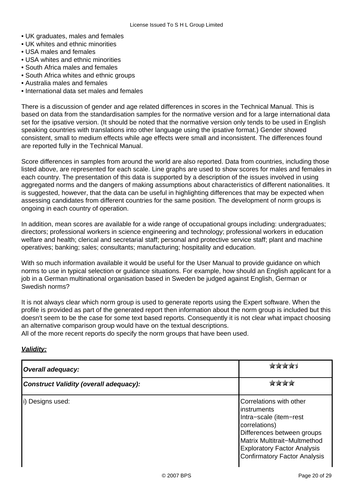- UK graduates, males and females
- UK whites and ethnic minorities
- USA males and females
- USA whites and ethnic minorities
- South Africa males and females
- South Africa whites and ethnic groups
- Australia males and females
- International data set males and females

There is a discussion of gender and age related differences in scores in the Technical Manual. This is based on data from the standardisation samples for the normative version and for a large international data set for the ipsative version. (It should be noted that the normative version only tends to be used in English speaking countries with translations into other language using the ipsative format.) Gender showed consistent, small to medium effects while age effects were small and inconsistent. The differences found are reported fully in the Technical Manual.

Score differences in samples from around the world are also reported. Data from countries, including those listed above, are represented for each scale. Line graphs are used to show scores for males and females in each country. The presentation of this data is supported by a description of the issues involved in using aggregated norms and the dangers of making assumptions about characteristics of different nationalities. It is suggested, however, that the data can be useful in highlighting differences that may be expected when assessing candidates from different countries for the same position. The development of norm groups is ongoing in each country of operation.

In addition, mean scores are available for a wide range of occupational groups including: undergraduates; directors; professional workers in science engineering and technology; professional workers in education welfare and health; clerical and secretarial staff; personal and protective service staff; plant and machine operatives; banking; sales; consultants; manufacturing; hospitality and education.

With so much information available it would be useful for the User Manual to provide guidance on which norms to use in typical selection or guidance situations. For example, how should an English applicant for a job in a German multinational organisation based in Sweden be judged against English, German or Swedish norms?

It is not always clear which norm group is used to generate reports using the Expert software. When the profile is provided as part of the generated report then information about the norm group is included but this doesn't seem to be the case for some text based reports. Consequently it is not clear what impact choosing an alternative comparison group would have on the textual descriptions.

All of the more recent reports do specify the norm groups that have been used.

#### **Validity:**

| <b>Overall adequacy:</b>                      |                                                                                                                                                                                                                                      |
|-----------------------------------------------|--------------------------------------------------------------------------------------------------------------------------------------------------------------------------------------------------------------------------------------|
| <b>Construct Validity (overall adequacy):</b> |                                                                                                                                                                                                                                      |
| i) Designs used:                              | Correlations with other<br><b>linstruments</b><br>Intra-scale (item-rest<br>correlations)<br>Differences between groups<br>Matrix Multitrait-Multmethod<br><b>Exploratory Factor Analysis</b><br><b>Confirmatory Factor Analysis</b> |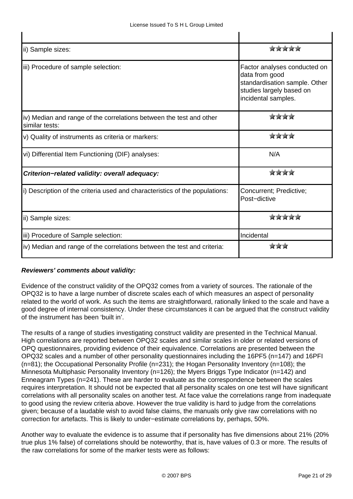| ii) Sample sizes:                                                                     | stestestesteste                                                                                                                    |
|---------------------------------------------------------------------------------------|------------------------------------------------------------------------------------------------------------------------------------|
| iii) Procedure of sample selection:                                                   | Factor analyses conducted on<br>data from good<br>standardisation sample. Other<br>studies largely based on<br>incidental samples. |
| iv) Median and range of the correlations between the test and other<br>similar tests: | skrikniknik                                                                                                                        |
| v) Quality of instruments as criteria or markers:                                     | värvärvärvär                                                                                                                       |
| vi) Differential Item Functioning (DIF) analyses:                                     | N/A                                                                                                                                |
| Criterion-related validity: overall adequacy:                                         | प्रेट के प्रेट प्रेट                                                                                                               |
| i) Description of the criteria used and characteristics of the populations:           | Concurrent; Predictive;<br>Post-dictive                                                                                            |
| ii) Sample sizes:                                                                     |                                                                                                                                    |
| iii) Procedure of Sample selection:                                                   | Incidental                                                                                                                         |
| iv) Median and range of the correlations between the test and criteria:               |                                                                                                                                    |

#### **Reviewers' comments about validity:**

Evidence of the construct validity of the OPQ32 comes from a variety of sources. The rationale of the OPQ32 is to have a large number of discrete scales each of which measures an aspect of personality related to the world of work. As such the items are straightforward, rationally linked to the scale and have a good degree of internal consistency. Under these circumstances it can be argued that the construct validity of the instrument has been 'built in'.

The results of a range of studies investigating construct validity are presented in the Technical Manual. High correlations are reported between OPQ32 scales and similar scales in older or related versions of OPQ questionnaires, providing evidence of their equivalence. Correlations are presented between the OPQ32 scales and a number of other personality questionnaires including the 16PF5 (n=147) and 16PFI (n=81); the Occupational Personality Profile (n=231); the Hogan Personality Inventory (n=108); the Minnesota Multiphasic Personality Inventory (n=126); the Myers Briggs Type Indicator (n=142) and Enneagram Types (n=241). These are harder to evaluate as the correspondence between the scales requires interpretation. It should not be expected that all personality scales on one test will have significant correlations with all personality scales on another test. At face value the correlations range from inadequate to good using the review criteria above. However the true validity is hard to judge from the correlations given; because of a laudable wish to avoid false claims, the manuals only give raw correlations with no correction for artefacts. This is likely to under−estimate correlations by, perhaps, 50%.

Another way to evaluate the evidence is to assume that if personality has five dimensions about 21% (20% true plus 1% false) of correlations should be noteworthy, that is, have values of 0.3 or more. The results of the raw correlations for some of the marker tests were as follows: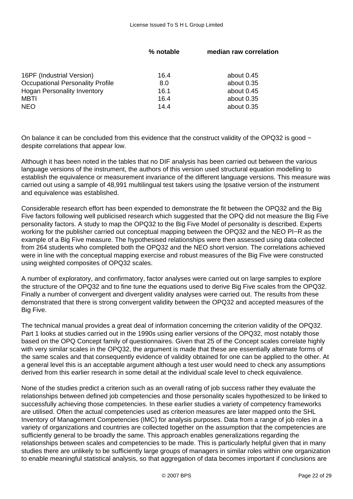|                                         | % notable | median raw correlation |
|-----------------------------------------|-----------|------------------------|
| 16PF (Industrial Version)               | 16.4      | about 0.45             |
| <b>Occupational Personality Profile</b> | 8.0       | about 0.35             |
| <b>Hogan Personality Inventory</b>      | 16.1      | about 0.45             |
| <b>MBTI</b>                             | 16.4      | about 0.35             |
| <b>NEO</b>                              | 14.4      | about 0.35             |

On balance it can be concluded from this evidence that the construct validity of the OPQ32 is good − despite correlations that appear low.

Although it has been noted in the tables that no DIF analysis has been carried out between the various language versions of the instrument, the authors of this version used structural equation modelling to establish the equivalence or measurement invariance of the different language versions. This measure was carried out using a sample of 48,991 multilingual test takers using the Ipsative version of the instrument and equivalence was established.

Considerable research effort has been expended to demonstrate the fit between the OPQ32 and the Big Five factors following well publicised research which suggested that the OPQ did not measure the Big Five personality factors. A study to map the OPQ32 to the Big Five Model of personality is described. Experts working for the publisher carried out conceptual mapping between the OPQ32 and the NEO PI−R as the example of a Big Five measure. The hypothesised relationships were then assessed using data collected from 264 students who completed both the OPQ32 and the NEO short version. The correlations achieved were in line with the conceptual mapping exercise and robust measures of the Big Five were constructed using weighted composites of OPQ32 scales.

A number of exploratory, and confirmatory, factor analyses were carried out on large samples to explore the structure of the OPQ32 and to fine tune the equations used to derive Big Five scales from the OPQ32. Finally a number of convergent and divergent validity analyses were carried out. The results from these demonstrated that there is strong convergent validity between the OPQ32 and accepted measures of the Big Five.

The technical manual provides a great deal of information concerning the criterion validity of the OPQ32. Part 1 looks at studies carried out in the 1990s using earlier versions of the OPQ32, most notably those based on the OPQ Concept family of questionnaires. Given that 25 of the Concept scales correlate highly with very similar scales in the OPQ32, the argument is made that these are essentially alternate forms of the same scales and that consequently evidence of validity obtained for one can be applied to the other. At a general level this is an acceptable argument although a test user would need to check any assumptions derived from this earlier research in some detail at the individual scale level to check equivalence.

None of the studies predict a criterion such as an overall rating of job success rather they evaluate the relationships between defined job competencies and those personality scales hypothesized to be linked to successfully achieving those competencies. In these earlier studies a variety of competency frameworks are utilised. Often the actual competencies used as criterion measures are later mapped onto the SHL Inventory of Management Competencies (IMC) for analysis purposes. Data from a range of job roles in a variety of organizations and countries are collected together on the assumption that the competencies are sufficiently general to be broadly the same. This approach enables generalizations regarding the relationships between scales and competencies to be made. This is particularly helpful given that in many studies there are unlikely to be sufficiently large groups of managers in similar roles within one organization to enable meaningful statistical analysis, so that aggregation of data becomes important if conclusions are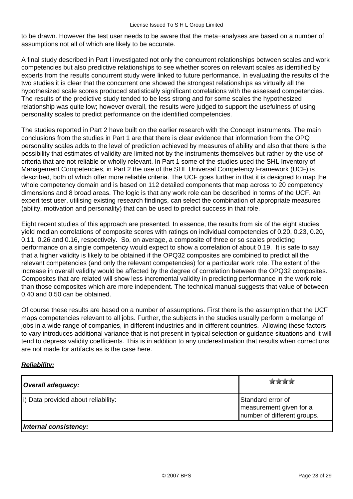to be drawn. However the test user needs to be aware that the meta−analyses are based on a number of assumptions not all of which are likely to be accurate.

A final study described in Part I investigated not only the concurrent relationships between scales and work competencies but also predictive relationships to see whether scores on relevant scales as identified by experts from the results concurrent study were linked to future performance. In evaluating the results of the two studies it is clear that the concurrent one showed the strongest relationships as virtually all the hypothesized scale scores produced statistically significant correlations with the assessed competencies. The results of the predictive study tended to be less strong and for some scales the hypothesized relationship was quite low; however overall, the results were judged to support the usefulness of using personality scales to predict performance on the identified competencies.

The studies reported in Part 2 have built on the earlier research with the Concept instruments. The main conclusions from the studies in Part 1 are that there is clear evidence that information from the OPQ personality scales adds to the level of prediction achieved by measures of ability and also that there is the possibility that estimates of validity are limited not by the instruments themselves but rather by the use of criteria that are not reliable or wholly relevant. In Part 1 some of the studies used the SHL Inventory of Management Competencies, in Part 2 the use of the SHL Universal Competency Framework (UCF) is described, both of which offer more reliable criteria. The UCF goes further in that it is designed to map the whole competency domain and is based on 112 detailed components that map across to 20 competency dimensions and 8 broad areas. The logic is that any work role can be described in terms of the UCF. An expert test user, utilising existing research findings, can select the combination of appropriate measures (ability, motivation and personality) that can be used to predict success in that role.

Eight recent studies of this approach are presented. In essence, the results from six of the eight studies yield median correlations of composite scores with ratings on individual competencies of 0.20, 0.23, 0.20, 0.11, 0.26 and 0.16, respectively. So, on average, a composite of three or so scales predicting performance on a single competency would expect to show a correlation of about 0.19. It is safe to say that a higher validity is likely to be obtained if the OPQ32 composites are combined to predict all the relevant competencies (and only the relevant competencies) for a particular work role. The extent of the increase in overall validity would be affected by the degree of correlation between the OPQ32 composites. Composites that are related will show less incremental validity in predicting performance in the work role than those composites which are more independent. The technical manual suggests that value of between 0.40 and 0.50 can be obtained.

Of course these results are based on a number of assumptions. First there is the assumption that the UCF maps competencies relevant to all jobs. Further, the subjects in the studies usually perform a melange of jobs in a wide range of companies, in different industries and in different countries. Allowing these factors to vary introduces additional variance that is not present in typical selection or guidance situations and it will tend to depress validity coefficients. This is in addition to any underestimation that results when corrections are not made for artifacts as is the case here.

#### **Reliability:**

| Overall adequacy:                   | <b>STATISTIC</b>                                                            |
|-------------------------------------|-----------------------------------------------------------------------------|
| i) Data provided about reliability: | Standard error of<br>measurement given for a<br>number of different groups. |
| Internal consistency:               |                                                                             |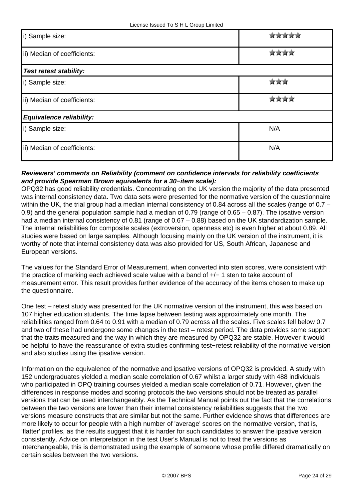| i) Sample size:               |     |
|-------------------------------|-----|
| ii) Median of coefficients:   |     |
| <b>Test retest stability:</b> |     |
| i) Sample size:               |     |
| ii) Median of coefficients:   |     |
| Equivalence reliability:      |     |
| i) Sample size:               | N/A |
| ii) Median of coefficients:   | N/A |

#### **Reviewers' comments on Reliability (comment on confidence intervals for reliability coefficients and provide Spearman Brown equivalents for a 30−item scale):**

OPQ32 has good reliability credentials. Concentrating on the UK version the majority of the data presented was internal consistency data. Two data sets were presented for the normative version of the questionnaire within the UK, the trial group had a median internal consistency of 0.84 across all the scales (range of 0.7 – 0.9) and the general population sample had a median of 0.79 (range of 0.65 – 0.87). The ipsative version had a median internal consistency of 0.81 (range of 0.67 – 0.88) based on the UK standardization sample. The internal reliabilities for composite scales (extroversion, openness etc) is even higher at about 0.89. All studies were based on large samples. Although focusing mainly on the UK version of the instrument, it is worthy of note that internal consistency data was also provided for US, South African, Japanese and European versions.

The values for the Standard Error of Measurement, when converted into sten scores, were consistent with the practice of marking each achieved scale value with a band of +/− 1 sten to take account of measurement error. This result provides further evidence of the accuracy of the items chosen to make up the questionnaire.

One test – retest study was presented for the UK normative version of the instrument, this was based on 107 higher education students. The time lapse between testing was approximately one month. The reliabilities ranged from 0.64 to 0.91 with a median of 0.79 across all the scales. Five scales fell below 0.7 and two of these had undergone some changes in the test – retest period. The data provides some support that the traits measured and the way in which they are measured by OPQ32 are stable. However it would be helpful to have the reassurance of extra studies confirming test−retest reliability of the normative version and also studies using the ipsative version.

Information on the equivalence of the normative and ipsative versions of OPQ32 is provided. A study with 152 undergraduates yielded a median scale correlation of 0.67 whilst a larger study with 488 individuals who participated in OPQ training courses yielded a median scale correlation of 0.71. However, given the differences in response modes and scoring protocols the two versions should not be treated as parallel versions that can be used interchangeably. As the Technical Manual points out the fact that the correlations between the two versions are lower than their internal consistency reliabilities suggests that the two versions measure constructs that are similar but not the same. Further evidence shows that differences are more likely to occur for people with a high number of 'average' scores on the normative version, that is, 'flatter' profiles, as the results suggest that it is harder for such candidates to answer the ipsative version consistently. Advice on interpretation in the test User's Manual is not to treat the versions as interchangeable, this is demonstrated using the example of someone whose profile differed dramatically on certain scales between the two versions.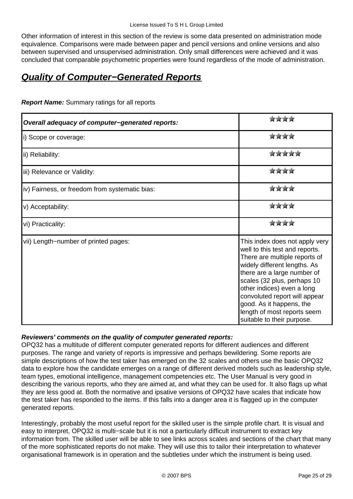Other information of interest in this section of the review is some data presented on administration mode equivalence. Comparisons were made between paper and pencil versions and online versions and also between supervised and unsupervised administration. Only small differences were achieved and it was concluded that comparable psychometric properties were found regardless of the mode of administration.

## **Quality of Computer−Generated Reports**

| Overall adequacy of computer-generated reports: | प्रेट के प्रेट प्रेट                                                                                                                                                                                                                                                                                                                                    |
|-------------------------------------------------|---------------------------------------------------------------------------------------------------------------------------------------------------------------------------------------------------------------------------------------------------------------------------------------------------------------------------------------------------------|
| i) Scope or coverage:                           | 宮宮宮宮                                                                                                                                                                                                                                                                                                                                                    |
| ii) Reliability:                                | सेट के सेट के                                                                                                                                                                                                                                                                                                                                           |
| iii) Relevance or Validity:                     | 宮宮宮宮                                                                                                                                                                                                                                                                                                                                                    |
| iv) Fairness, or freedom from systematic bias:  | ****                                                                                                                                                                                                                                                                                                                                                    |
| v) Acceptability:                               | ****                                                                                                                                                                                                                                                                                                                                                    |
| vi) Practicality:                               | 宮宮宮宮                                                                                                                                                                                                                                                                                                                                                    |
| vii) Length-number of printed pages:            | This index does not apply very<br>well to this test and reports.<br>There are multiple reports of<br>widely different lengths. As<br>there are a large number of<br>scales (32 plus, perhaps 10<br>other indices) even a long<br>convoluted report will appear<br>good. As it happens, the<br>length of most reports seem<br>suitable to their purpose. |

**Report Name:** Summary ratings for all reports

#### **Reviewers' comments on the quality of computer generated reports:**

OPQ32 has a multitude of different computer generated reports for different audiences and different purposes. The range and variety of reports is impressive and perhaps bewildering. Some reports are simple descriptions of how the test taker has emerged on the 32 scales and others use the basic OPQ32 data to explore how the candidate emerges on a range of different derived models such as leadership style, team types, emotional intelligence, management competencies etc. The User Manual is very good in describing the various reports, who they are aimed at, and what they can be used for. It also flags up what they are less good at. Both the normative and ipsative versions of OPQ32 have scales that indicate how the test taker has responded to the items. If this falls into a danger area it is flagged up in the computer generated reports.

Interestingly, probably the most useful report for the skilled user is the simple profile chart. It is visual and easy to interpret, OPQ32 is multi−scale but it is not a particularly difficult instrument to extract key information from. The skilled user will be able to see links across scales and sections of the chart that many of the more sophisticated reports do not make. They will use this to tailor their interpretation to whatever organisational framework is in operation and the subtleties under which the instrument is being used.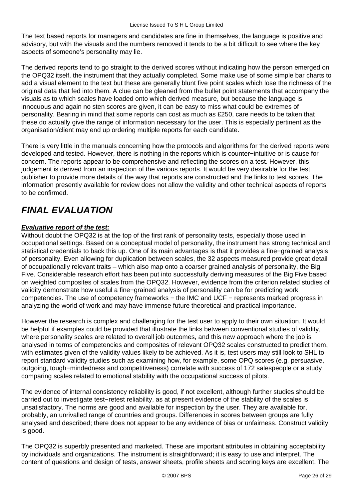The text based reports for managers and candidates are fine in themselves, the language is positive and advisory, but with the visuals and the numbers removed it tends to be a bit difficult to see where the key aspects of someone's personality may lie.

The derived reports tend to go straight to the derived scores without indicating how the person emerged on the OPQ32 itself, the instrument that they actually completed. Some make use of some simple bar charts to add a visual element to the text but these are generally blunt five point scales which lose the richness of the original data that fed into them. A clue can be gleaned from the bullet point statements that accompany the visuals as to which scales have loaded onto which derived measure, but because the language is innocuous and again no sten scores are given, it can be easy to miss what could be extremes of personality. Bearing in mind that some reports can cost as much as £250, care needs to be taken that these do actually give the range of information necessary for the user. This is especially pertinent as the organisation/client may end up ordering multiple reports for each candidate.

There is very little in the manuals concerning how the protocols and algorithms for the derived reports were developed and tested. However, there is nothing in the reports which is counter−intuitive or is cause for concern. The reports appear to be comprehensive and reflecting the scores on a test. However, this judgement is derived from an inspection of the various reports. It would be very desirable for the test publisher to provide more details of the way that reports are constructed and the links to test scores. The information presently available for review does not allow the validity and other technical aspects of reports to be confirmed.

# **FINAL EVALUATION**

#### **Evaluative report of the test:**

Without doubt the OPQ32 is at the top of the first rank of personality tests, especially those used in occupational settings. Based on a conceptual model of personality, the instrument has strong technical and statistical credentials to back this up. One of its main advantages is that it provides a fine−grained analysis of personality. Even allowing for duplication between scales, the 32 aspects measured provide great detail of occupationally relevant traits – which also map onto a coarser grained analysis of personality, the Big Five. Considerable research effort has been put into successfully deriving measures of the Big Five based on weighted composites of scales from the OPQ32. However, evidence from the criterion related studies of validity demonstrate how useful a fine−grained analysis of personality can be for predicting work competencies. The use of competency frameworks − the IMC and UCF − represents marked progress in analyzing the world of work and may have immense future theoretical and practical importance.

However the research is complex and challenging for the test user to apply to their own situation. It would be helpful if examples could be provided that illustrate the links between conventional studies of validity, where personality scales are related to overall job outcomes, and this new approach where the job is analysed in terms of competencies and composites of relevant OPQ32 scales constructed to predict them, with estimates given of the validity values likely to be achieved. As it is, test users may still look to SHL to report standard validity studies such as examining how, for example, some OPQ scores (e.g. persuasive, outgoing, tough−mindedness and competitiveness) correlate with success of 172 salespeople or a study comparing scales related to emotional stability with the occupational success of pilots.

The evidence of internal consistency reliability is good, if not excellent, although further studies should be carried out to investigate test−retest reliability, as at present evidence of the stability of the scales is unsatisfactory. The norms are good and available for inspection by the user. They are available for, probably, an unrivalled range of countries and groups. Differences in scores between groups are fully analysed and described; there does not appear to be any evidence of bias or unfairness. Construct validity is good.

The OPQ32 is superbly presented and marketed. These are important attributes in obtaining acceptability by individuals and organizations. The instrument is straightforward; it is easy to use and interpret. The content of questions and design of tests, answer sheets, profile sheets and scoring keys are excellent. The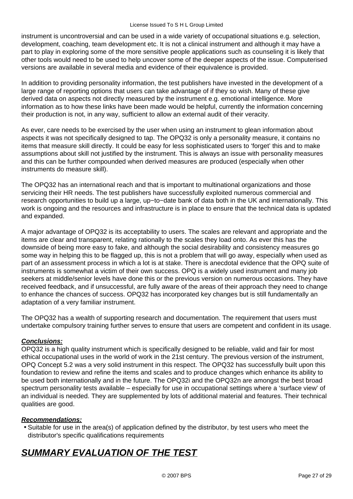instrument is uncontroversial and can be used in a wide variety of occupational situations e.g. selection, development, coaching, team development etc. It is not a clinical instrument and although it may have a part to play in exploring some of the more sensitive people applications such as counseling it is likely that other tools would need to be used to help uncover some of the deeper aspects of the issue. Computerised versions are available in several media and evidence of their equivalence is provided.

In addition to providing personality information, the test publishers have invested in the development of a large range of reporting options that users can take advantage of if they so wish. Many of these give derived data on aspects not directly measured by the instrument e.g. emotional intelligence. More information as to how these links have been made would be helpful, currently the information concerning their production is not, in any way, sufficient to allow an external audit of their veracity.

As ever, care needs to be exercised by the user when using an instrument to glean information about aspects it was not specifically designed to tap. The OPQ32 is only a personality measure, it contains no items that measure skill directly. It could be easy for less sophisticated users to 'forget' this and to make assumptions about skill not justified by the instrument. This is always an issue with personality measures and this can be further compounded when derived measures are produced (especially when other instruments do measure skill).

The OPQ32 has an international reach and that is important to multinational organizations and those servicing their HR needs. The test publishers have successfully exploited numerous commercial and research opportunities to build up a large, up−to−date bank of data both in the UK and internationally. This work is ongoing and the resources and infrastructure is in place to ensure that the technical data is updated and expanded.

A major advantage of OPQ32 is its acceptability to users. The scales are relevant and appropriate and the items are clear and transparent, relating rationally to the scales they load onto. As ever this has the downside of being more easy to fake, and although the social desirability and consistency measures go some way in helping this to be flagged up, this is not a problem that will go away, especially when used as part of an assessment process in which a lot is at stake. There is anecdotal evidence that the OPQ suite of instruments is somewhat a victim of their own success. OPQ is a widely used instrument and many job seekers at middle/senior levels have done this or the previous version on numerous occasions. They have received feedback, and if unsuccessful, are fully aware of the areas of their approach they need to change to enhance the chances of success. OPQ32 has incorporated key changes but is still fundamentally an adaptation of a very familiar instrument.

The OPQ32 has a wealth of supporting research and documentation. The requirement that users must undertake compulsory training further serves to ensure that users are competent and confident in its usage.

#### **Conclusions:**

OPQ32 is a high quality instrument which is specifically designed to be reliable, valid and fair for most ethical occupational uses in the world of work in the 21st century. The previous version of the instrument, OPQ Concept 5.2 was a very solid instrument in this respect. The OPQ32 has successfully built upon this foundation to review and refine the items and scales and to produce changes which enhance its ability to be used both internationally and in the future. The OPQ32i and the OPQ32n are amongst the best broad spectrum personality tests available – especially for use in occupational settings where a 'surface view' of an individual is needed. They are supplemented by lots of additional material and features. Their technical qualities are good.

#### **Recommendations:**

• Suitable for use in the area(s) of application defined by the distributor, by test users who meet the distributor's specific qualifications requirements

# **SUMMARY EVALUATION OF THE TEST**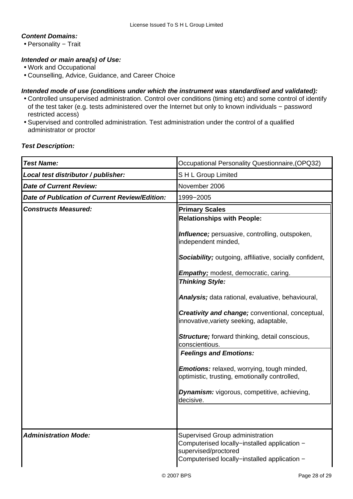#### **Content Domains:**

• Personality − Trait

#### **Intended or main area(s) of Use:**

- Work and Occupational
- Counselling, Advice, Guidance, and Career Choice

#### **Intended mode of use (conditions under which the instrument was standardised and validated):**

- Controlled unsupervised administration. Control over conditions (timing etc) and some control of identify of the test taker (e.g. tests administered over the Internet but only to known individuals − password restricted access)
- Supervised and controlled administration. Test administration under the control of a qualified administrator or proctor

#### **Test Description:**

| <b>Test Name:</b>                                     | Occupational Personality Questionnaire, (OPQ32)                                                                                                         |
|-------------------------------------------------------|---------------------------------------------------------------------------------------------------------------------------------------------------------|
| Local test distributor / publisher:                   | SH L Group Limited                                                                                                                                      |
| <b>Date of Current Review:</b>                        | November 2006                                                                                                                                           |
| <b>Date of Publication of Current Review/Edition:</b> | 1999-2005                                                                                                                                               |
| <b>Constructs Measured:</b>                           | <b>Primary Scales</b>                                                                                                                                   |
|                                                       | <b>Relationships with People:</b>                                                                                                                       |
|                                                       | Influence; persuasive, controlling, outspoken,<br>independent minded,                                                                                   |
|                                                       | Sociability; outgoing, affiliative, socially confident,                                                                                                 |
|                                                       | <b>Empathy;</b> modest, democratic, caring.                                                                                                             |
|                                                       | <b>Thinking Style:</b>                                                                                                                                  |
|                                                       | Analysis; data rational, evaluative, behavioural,                                                                                                       |
|                                                       | Creativity and change; conventional, conceptual,<br>innovative, variety seeking, adaptable,                                                             |
|                                                       | <b>Structure</b> ; forward thinking, detail conscious,<br>conscientious.                                                                                |
|                                                       | <b>Feelings and Emotions:</b>                                                                                                                           |
|                                                       | <b>Emotions:</b> relaxed, worrying, tough minded,<br>optimistic, trusting, emotionally controlled,                                                      |
|                                                       | <b>Dynamism:</b> vigorous, competitive, achieving,<br>decisive.                                                                                         |
|                                                       |                                                                                                                                                         |
| <b>Administration Mode:</b>                           | Supervised Group administration<br>Computerised locally-installed application -<br>supervised/proctored<br>Computerised locally-installed application - |